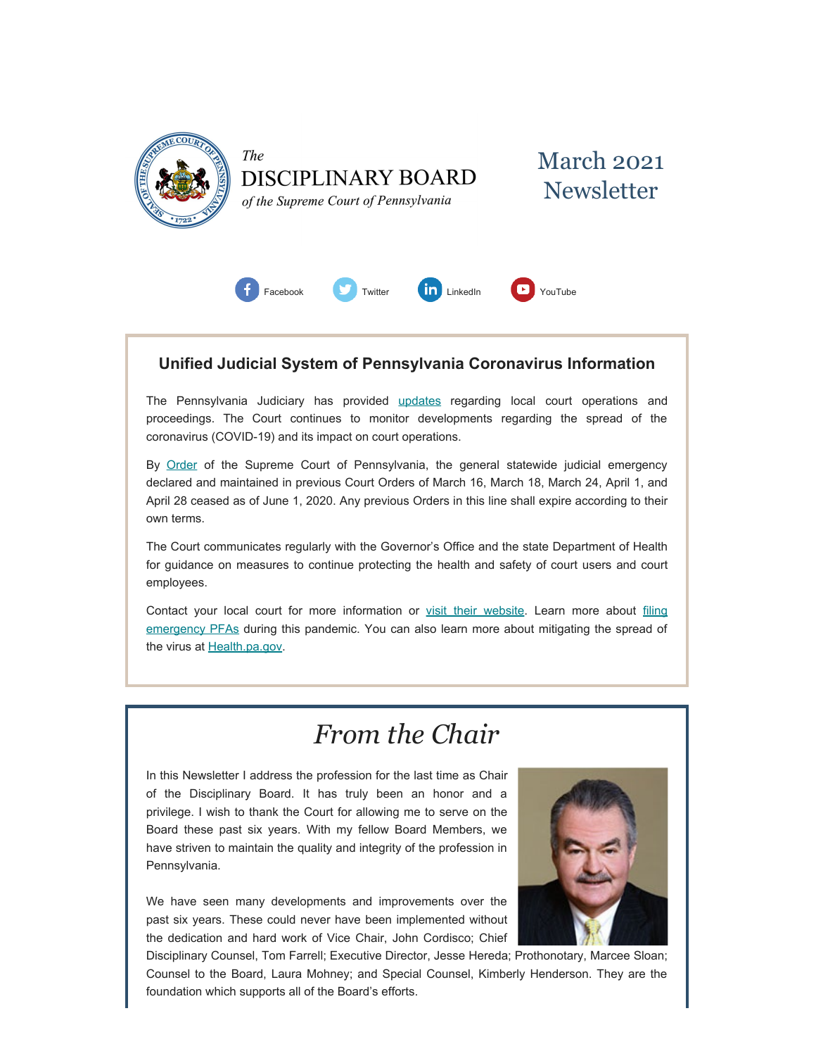



of the Supreme Court of Pennsylvania



### **Unified Judicial System of Pennsylvania Coronavirus Information**

The Pennsylvania Judiciary has provided [updates](http://www.pacourts.us/ujs-coronavirus-information) regarding local court operations and proceedings. The Court continues to monitor developments regarding the spread of the coronavirus (COVID-19) and its impact on court operations.

By [Order](http://www.pacourts.us/assets/files/page-1305/file-9376.pdf) of the Supreme Court of Pennsylvania, the general statewide judicial emergency declared and maintained in previous Court Orders of March 16, March 18, March 24, April 1, and April 28 ceased as of June 1, 2020. Any previous Orders in this line shall expire according to their own terms.

The Court communicates regularly with the Governor's Office and the state Department of Health for guidance on measures to continue protecting the health and safety of court users and court employees.

Contact your local court for more information or [visit their website.](http://www.pacourts.us/courts/courts-of-common-pleas/) Learn more about [filing](http://www.pacourts.us/learn/protection-orders) [emergency PFAs](http://www.pacourts.us/learn/protection-orders) during this pandemic. You can also learn more about mitigating the spread of the virus at [Health.pa.gov.](https://www.health.pa.gov/topics/disease/Pages/Coronavirus.aspx)

# *From the Chair*

In this Newsletter I address the profession for the last time as Chair of the Disciplinary Board. It has truly been an honor and a privilege. I wish to thank the Court for allowing me to serve on the Board these past six years. With my fellow Board Members, we have striven to maintain the quality and integrity of the profession in Pennsylvania.

We have seen many developments and improvements over the past six years. These could never have been implemented without the dedication and hard work of Vice Chair, John Cordisco; Chief



Disciplinary Counsel, Tom Farrell; Executive Director, Jesse Hereda; Prothonotary, Marcee Sloan; Counsel to the Board, Laura Mohney; and Special Counsel, Kimberly Henderson. They are the foundation which supports all of the Board's efforts.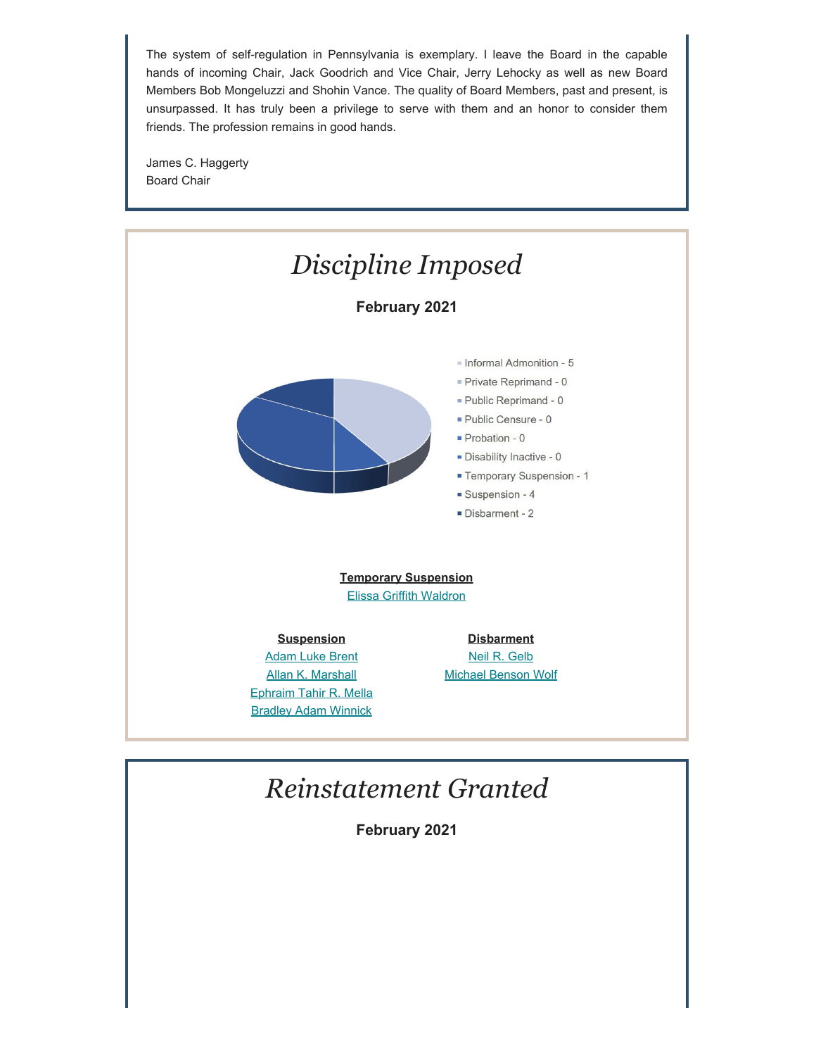The system of self-regulation in Pennsylvania is exemplary. I leave the Board in the capable hands of incoming Chair, Jack Goodrich and Vice Chair, Jerry Lehocky as well as new Board Members Bob Mongeluzzi and Shohin Vance. The quality of Board Members, past and present, is unsurpassed. It has truly been a privilege to serve with them and an honor to consider them friends. The profession remains in good hands.

James C. Haggerty Board Chair



## *Reinstatement Granted*

**February 2021**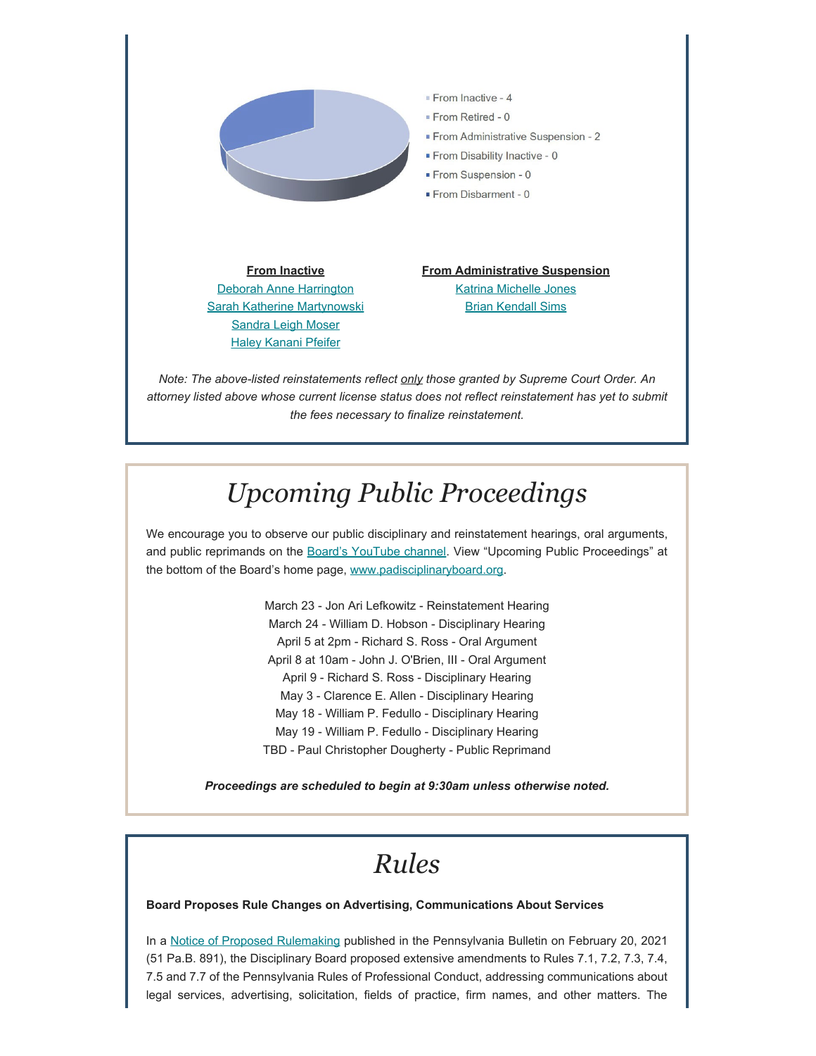

*attorney listed above whose current license status does not reflect reinstatement has yet to submit the fees necessary to finalize reinstatement.*

# *Upcoming Public Proceedings*

We encourage you to observe our public disciplinary and reinstatement hearings, oral arguments, and public reprimands on the [Board's YouTube channel.](https://www.youtube.com/channel/UC7Rzfgcm91b2y3TRTXAViHw) View "Upcoming Public Proceedings" at the bottom of the Board's home page, [www.padisciplinaryboard.org.](https://www.padisciplinaryboard.org/)

> March 23 - Jon Ari Lefkowitz - Reinstatement Hearing March 24 - William D. Hobson - Disciplinary Hearing April 5 at 2pm - Richard S. Ross - Oral Argument April 8 at 10am - John J. O'Brien, III - Oral Argument April 9 - Richard S. Ross - Disciplinary Hearing May 3 - Clarence E. Allen - Disciplinary Hearing May 18 - William P. Fedullo - Disciplinary Hearing May 19 - William P. Fedullo - Disciplinary Hearing TBD - Paul Christopher Dougherty - Public Reprimand

*Proceedings are scheduled to begin at 9:30am unless otherwise noted.*

# *Rules*

### **Board Proposes Rule Changes on Advertising, Communications About Services**

In a [Notice of Proposed Rulemaking](http://www.pacodeandbulletin.gov/secure/pabulletin/data/vol51/51-8/51_8_cts.pdf) published in the Pennsylvania Bulletin on February 20, 2021 (51 Pa.B. 891), the Disciplinary Board proposed extensive amendments to Rules 7.1, 7.2, 7.3, 7.4, 7.5 and 7.7 of the Pennsylvania Rules of Professional Conduct, addressing communications about legal services, advertising, solicitation, fields of practice, firm names, and other matters. The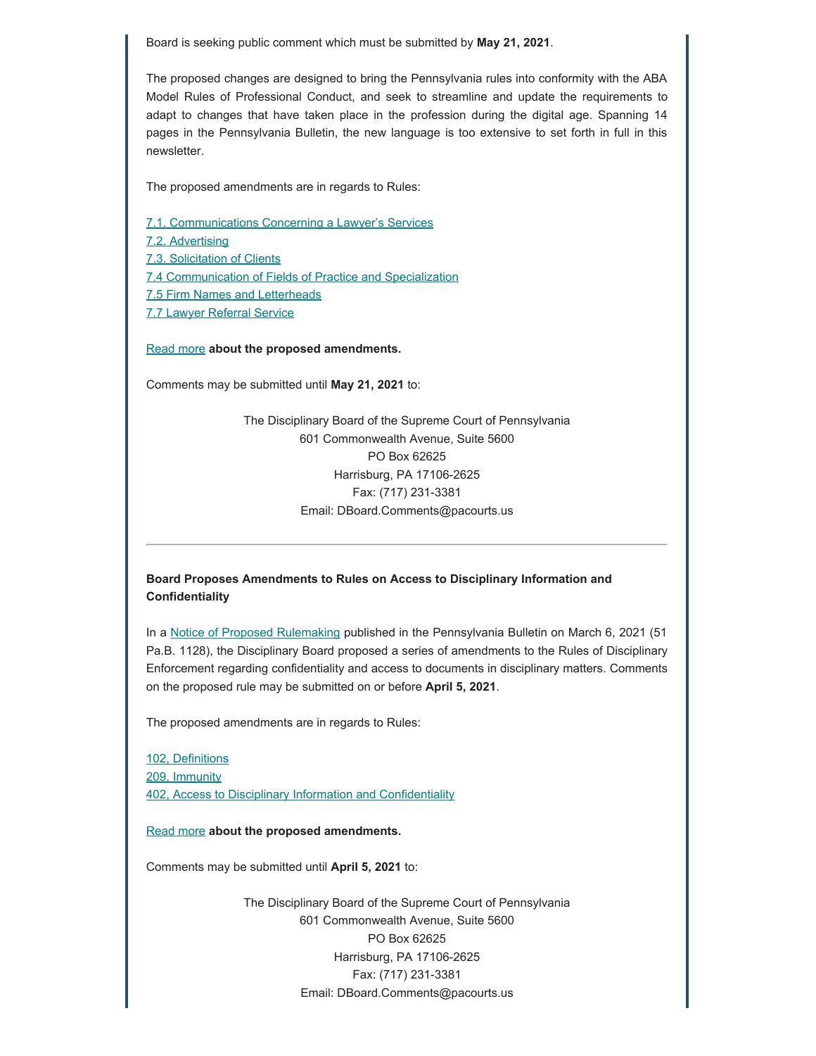Board is seeking public comment which must be submitted by **May 21, 2021**.

The proposed changes are designed to bring the Pennsylvania rules into conformity with the ABA Model Rules of Professional Conduct, and seek to streamline and update the requirements to adapt to changes that have taken place in the profession during the digital age. Spanning 14 pages in the Pennsylvania Bulletin, the new language is too extensive to set forth in full in this newsletter.

The proposed amendments are in regards to Rules:

[7.1. Communications Concerning a Lawyer's Services](https://www.padisciplinaryboard.org/for-attorneys/rules/rule/3/The%20Rules%20of%20Professional%20Conduct#rule-250)

7.2. [Advertising](https://www.padisciplinaryboard.org/for-attorneys/rules/rule/3/The%20Rules%20of%20Professional%20Conduct#rule-251)

[7.3. Solicitation of Clients](https://www.padisciplinaryboard.org/for-attorneys/rules/rule/3/The%20Rules%20of%20Professional%20Conduct#rule-252)

[7.4 Communication of Fields of Practice and Specialization](https://www.padisciplinaryboard.org/for-attorneys/rules/rule/3/The%20Rules%20of%20Professional%20Conduct#rule-253)

[7.5 Firm Names and Letterheads](https://www.padisciplinaryboard.org/for-attorneys/rules/rule/3/The%20Rules%20of%20Professional%20Conduct#rule-254)

[7.7 Lawyer Referral Service](https://www.padisciplinaryboard.org/for-attorneys/rules/rule/3/The%20Rules%20of%20Professional%20Conduct#rule-256)

[Read more](http://www.padisciplinaryboard.org/news-media/news-article/1385/board-proposes-rule-changes-on-advertising-communications-about-services) **about the proposed amendments.**

Comments may be submitted until **May 21, 2021** to:

The Disciplinary Board of the Supreme Court of Pennsylvania 601 Commonwealth Avenue, Suite 5600 PO Box 62625 Harrisburg, PA 17106-2625 Fax: (717) 231-3381 Email: DBoard.Comments@pacourts.us

### **Board Proposes Amendments to Rules on Access to Disciplinary Information and Confidentiality**

In a [Notice of Proposed Rulemaking](https://www.pacodeandbulletin.gov/Display/pabull?file=/secure/pabulletin/data/vol51/51-10/322.html) published in the Pennsylvania Bulletin on March 6, 2021 (51 Pa.B. 1128), the Disciplinary Board proposed a series of amendments to the Rules of Disciplinary Enforcement regarding confidentiality and access to documents in disciplinary matters. Comments on the proposed rule may be submitted on or before **April 5, 2021**.

The proposed amendments are in regards to Rules:

[102, Definitions](https://www.padisciplinaryboard.org/for-attorneys/rules/rule/5/The%20Pennsylvania%20Rules%20of%20Disciplinary%20Enforcement#rule-14) [209, Immunity](https://www.padisciplinaryboard.org/for-attorneys/rules/rule/5/The%20Pennsylvania%20Rules%20of%20Disciplinary%20Enforcement#rule-25) [402, Access to Disciplinary Information and Confidentiality](https://www.padisciplinaryboard.org/for-attorneys/rules/rule/5/The%20Pennsylvania%20Rules%20of%20Disciplinary%20Enforcement#rule-49)

[Read more](http://www.padisciplinaryboard.org/news-media/news-article/1386/board-proposes-amendments-to-rules-on-access-to-disciplinary-information-and-confidentiality) **about the proposed amendments.**

Comments may be submitted until **April 5, 2021** to:

The Disciplinary Board of the Supreme Court of Pennsylvania 601 Commonwealth Avenue, Suite 5600 PO Box 62625 Harrisburg, PA 17106-2625 Fax: (717) 231-3381 Email: DBoard.Comments@pacourts.us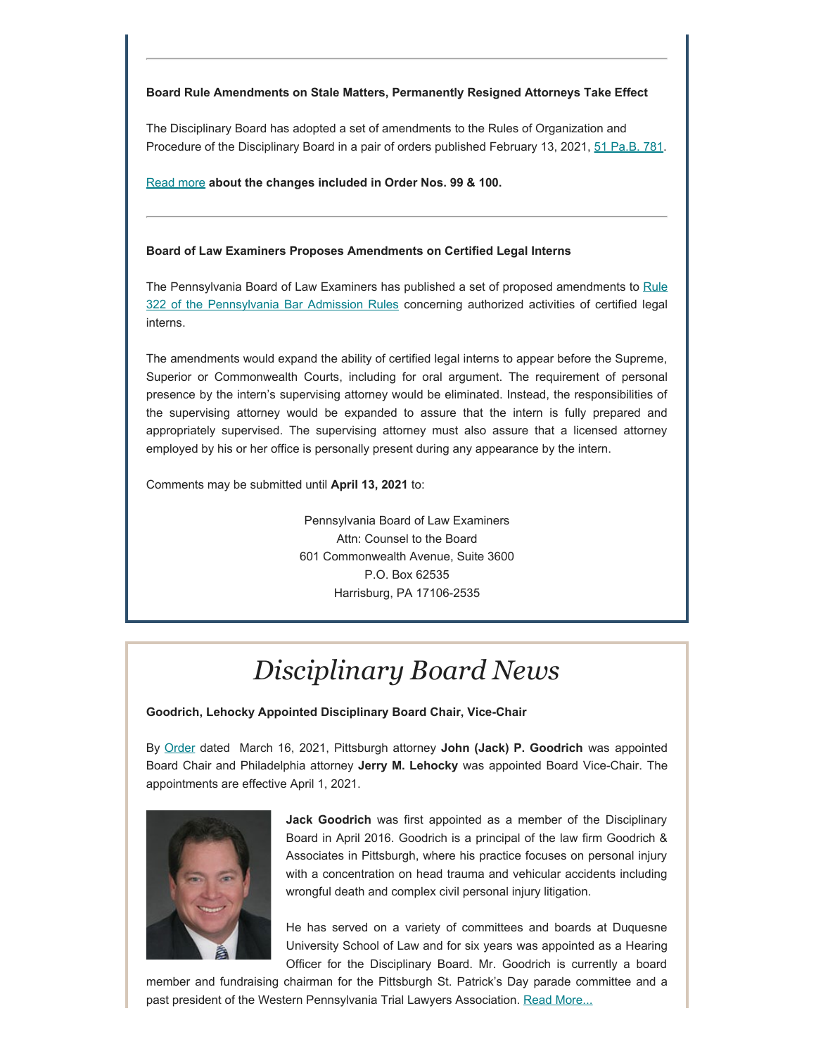### **Board Rule Amendments on Stale Matters, Permanently Resigned Attorneys Take Effect**

The Disciplinary Board has adopted a set of amendments to the Rules of Organization and Procedure of the Disciplinary Board in a pair of orders published February 13, 2021, [51 Pa.B. 781.](http://www.pacodeandbulletin.gov/secure/pabulletin/data/vol51/51-7/51_7_cts.pdf)

[Read more](http://www.padisciplinaryboard.org/news-media/news-article/1387/board-amendments-on-stale-matters-permanently-resigned-attorneys-take-effect) **about the changes included in Order Nos. 99 & 100.**

### **Board of Law Examiners Proposes Amendments on Certified Legal Interns**

The Pennsylvania Board of Law Examiners has published a set of proposed amendments to [Rule](https://www.pabarexam.org/bar_admission_rules/322.htm) [322 of the Pennsylvania Bar Admission Rules](https://www.pabarexam.org/bar_admission_rules/322.htm) concerning authorized activities of certified legal interns.

The amendments would expand the ability of certified legal interns to appear before the Supreme, Superior or Commonwealth Courts, including for oral argument. The requirement of personal presence by the intern's supervising attorney would be eliminated. Instead, the responsibilities of the supervising attorney would be expanded to assure that the intern is fully prepared and appropriately supervised. The supervising attorney must also assure that a licensed attorney employed by his or her office is personally present during any appearance by the intern.

Comments may be submitted until **April 13, 2021** to:

Pennsylvania Board of Law Examiners Attn: Counsel to the Board 601 Commonwealth Avenue, Suite 3600 P.O. Box 62535 Harrisburg, PA 17106-2535

# *Disciplinary Board News*

**Goodrich, Lehocky Appointed Disciplinary Board Chair, Vice-Chair**

By [Order](http://www.pacourts.us/assets/opinions/Supreme/out/Order%20Entered%20-%20104719398130102871.pdf?cb=1) dated March 16, 2021, Pittsburgh attorney **John (Jack) P. Goodrich** was appointed Board Chair and Philadelphia attorney **Jerry M. Lehocky** was appointed Board Vice-Chair. The appointments are effective April 1, 2021.



**Jack Goodrich** was first appointed as a member of the Disciplinary Board in April 2016. Goodrich is a principal of the law firm Goodrich & Associates in Pittsburgh, where his practice focuses on personal injury with a concentration on head trauma and vehicular accidents including wrongful death and complex civil personal injury litigation.

He has served on a variety of committees and boards at Duquesne University School of Law and for six years was appointed as a Hearing Officer for the Disciplinary Board. Mr. Goodrich is currently a board

member and fundraising chairman for the Pittsburgh St. Patrick's Day parade committee and a past president of the Western Pennsylvania Trial Lawyers Association. [Read More...](https://www.padisciplinaryboard.org/news-media/news-article/1395/disciplinary-board-of-the-supreme-court-of-pennsylvania-announces-new-leadership)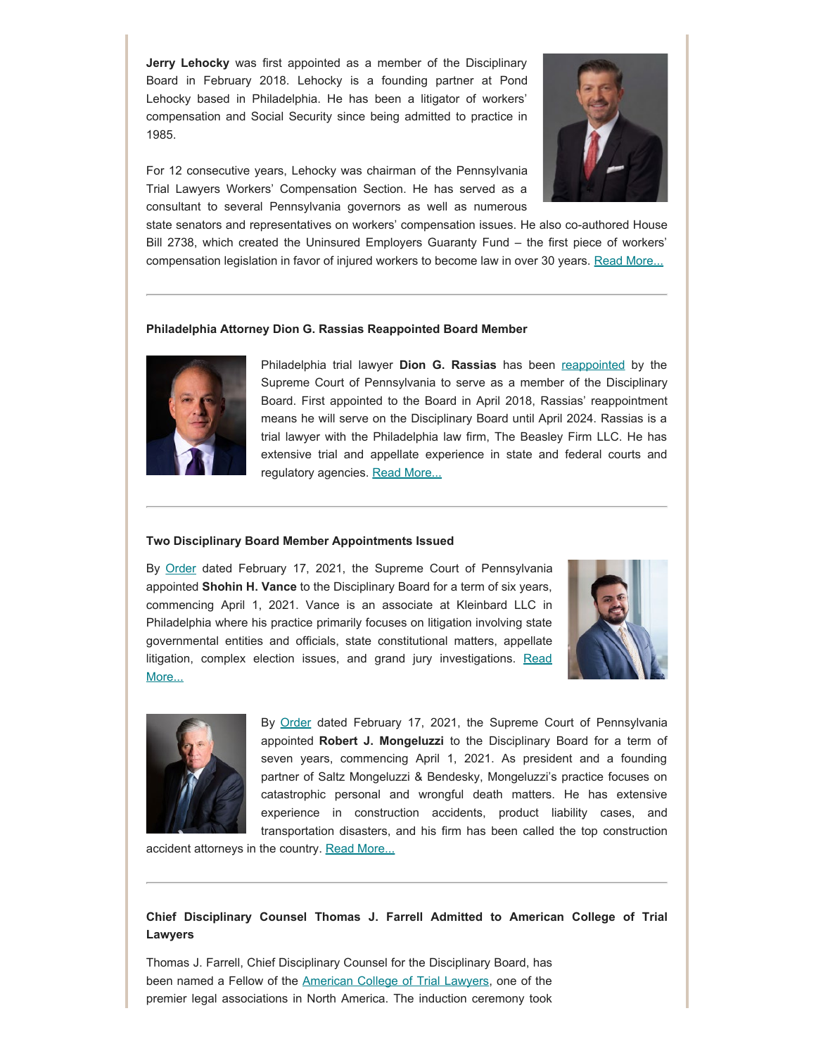**Jerry Lehocky** was first appointed as a member of the Disciplinary Board in February 2018. Lehocky is a founding partner at Pond Lehocky based in Philadelphia. He has been a litigator of workers' compensation and Social Security since being admitted to practice in 1985.



For 12 consecutive years, Lehocky was chairman of the Pennsylvania Trial Lawyers Workers' Compensation Section. He has served as a consultant to several Pennsylvania governors as well as numerous

state senators and representatives on workers' compensation issues. He also co-authored House Bill 2738, which created the Uninsured Employers Guaranty Fund – the first piece of workers' compensation legislation in favor of injured workers to become law in over 30 years. [Read More...](https://www.padisciplinaryboard.org/news-media/news-article/1395/disciplinary-board-of-the-supreme-court-of-pennsylvania-announces-new-leadership)

#### **Philadelphia Attorney Dion G. Rassias Reappointed Board Member**



Philadelphia trial lawyer **Dion G. Rassias** has been [reappointed](http://www.pacourts.us/assets/opinions/Supreme/out/Order%20Entered%20-%20104691199127821175.pdf?cb=1) by the Supreme Court of Pennsylvania to serve as a member of the Disciplinary Board. First appointed to the Board in April 2018, Rassias' reappointment means he will serve on the Disciplinary Board until April 2024. Rassias is a trial lawyer with the Philadelphia law firm, The Beasley Firm LLC. He has extensive trial and appellate experience in state and federal courts and regulatory agencies. [Read More...](https://www.padisciplinaryboard.org/news-media/news-article/1384/philadelphia-attorney-dion-g-rassias-reappointed-member-of-pa-disciplinary-board)

#### **Two Disciplinary Board Member Appointments Issued**

By [Order](http://www.pacourts.us/assets/opinions/Supreme/out/Order%20Entered%20-%20104691107127817724.pdf?cb=1) dated February 17, 2021, the Supreme Court of Pennsylvania appointed **Shohin H. Vance** to the Disciplinary Board for a term of six years, commencing April 1, 2021. Vance is an associate at Kleinbard LLC in Philadelphia where his practice primarily focuses on litigation involving state governmental entities and officials, state constitutional matters, appellate litigation, complex election issues, and grand jury investigations. [Read](https://www.padisciplinaryboard.org/news-media/news-article/1383/philadelphia-attorney-shohin-h-vance-appointed-as-member-of-pa-disciplinary-board) [More...](https://www.padisciplinaryboard.org/news-media/news-article/1383/philadelphia-attorney-shohin-h-vance-appointed-as-member-of-pa-disciplinary-board)





By [Order](http://www.pacourts.us/assets/opinions/Supreme/out/Order%20Entered%20-%20104691107127817724.pdf?cb=1) dated February 17, 2021, the Supreme Court of Pennsylvania appointed **Robert J. Mongeluzzi** to the Disciplinary Board for a term of seven years, commencing April 1, 2021. As president and a founding partner of Saltz Mongeluzzi & Bendesky, Mongeluzzi's practice focuses on catastrophic personal and wrongful death matters. He has extensive experience in construction accidents, product liability cases, and transportation disasters, and his firm has been called the top construction

accident attorneys in the country. [Read More...](https://www.padisciplinaryboard.org/news-media/news-article/1388/philadelphia-attorney-robert-j-mongeluzzi-appointed-member-of-pa-disciplinary-board)

### **Chief Disciplinary Counsel Thomas J. Farrell Admitted to American College of Trial Lawyers**

Thomas J. Farrell, Chief Disciplinary Counsel for the Disciplinary Board, has been named a Fellow of the [American College of Trial Lawyers](https://www.actl.com/), one of the premier legal associations in North America. The induction ceremony took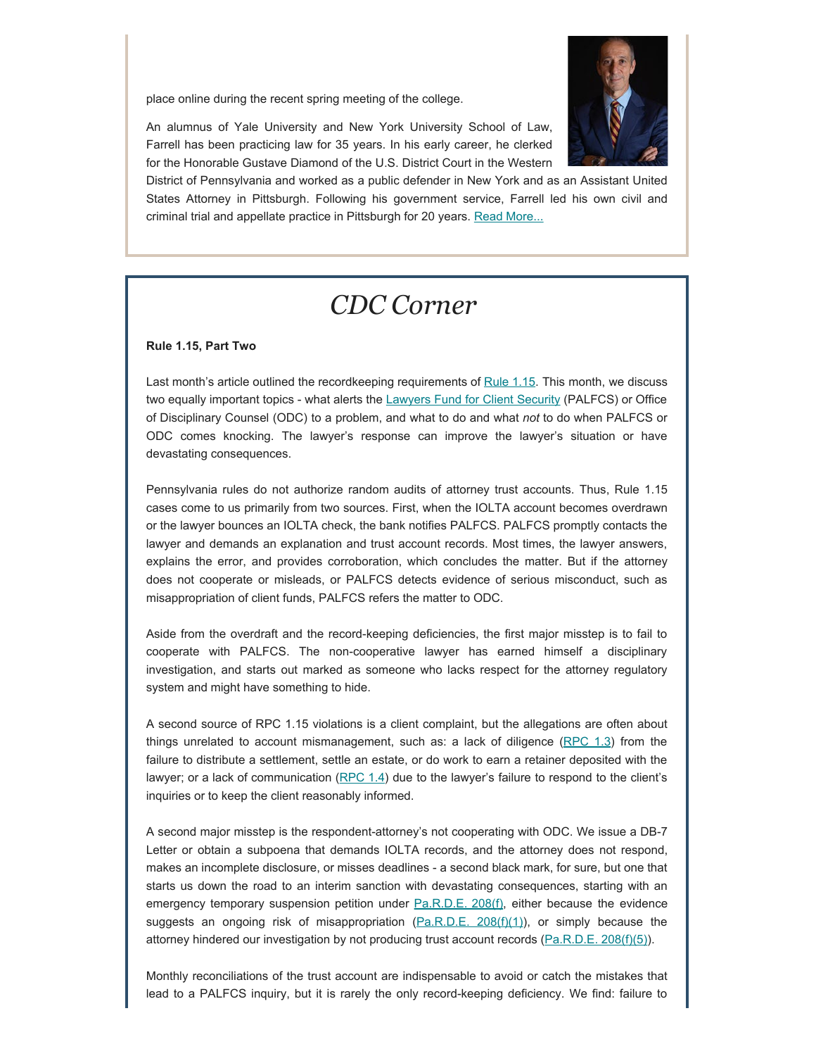place online during the recent spring meeting of the college.



An alumnus of Yale University and New York University School of Law, Farrell has been practicing law for 35 years. In his early career, he clerked for the Honorable Gustave Diamond of the U.S. District Court in the Western

District of Pennsylvania and worked as a public defender in New York and as an Assistant United States Attorney in Pittsburgh. Following his government service, Farrell led his own civil and criminal trial and appellate practice in Pittsburgh for 20 years. [Read More...](https://www.padisciplinaryboard.org/news-media/news-article/1392/chief-disciplinary-counsel-thomas-j-farrell-admitted-to-american-college-of-trial-lawyers)

## *CDC Corner*

### **Rule 1.15, Part Two**

Last month's article outlined the recordkeeping requirements of [Rule 1.15](https://www.padisciplinaryboard.org/for-attorneys/rules/rule/3/the-rules-of-professional-conduct#rule-156). This month, we discuss two equally important topics - what alerts the [Lawyers Fund for Client Security](https://palawfund.com/) (PALFCS) or Office of Disciplinary Counsel (ODC) to a problem, and what to do and what *not* to do when PALFCS or ODC comes knocking. The lawyer's response can improve the lawyer's situation or have devastating consequences.

Pennsylvania rules do not authorize random audits of attorney trust accounts. Thus, Rule 1.15 cases come to us primarily from two sources. First, when the IOLTA account becomes overdrawn or the lawyer bounces an IOLTA check, the bank notifies PALFCS. PALFCS promptly contacts the lawyer and demands an explanation and trust account records. Most times, the lawyer answers, explains the error, and provides corroboration, which concludes the matter. But if the attorney does not cooperate or misleads, or PALFCS detects evidence of serious misconduct, such as misappropriation of client funds, PALFCS refers the matter to ODC.

Aside from the overdraft and the record-keeping deficiencies, the first major misstep is to fail to cooperate with PALFCS. The non-cooperative lawyer has earned himself a disciplinary investigation, and starts out marked as someone who lacks respect for the attorney regulatory system and might have something to hide.

A second source of RPC 1.15 violations is a client complaint, but the allegations are often about things unrelated to account mismanagement, such as: a lack of diligence  $($ RPC  $1.3)$  from the failure to distribute a settlement, settle an estate, or do work to earn a retainer deposited with the lawyer; or a lack of communication  $(RPC 1.4)$  $(RPC 1.4)$  due to the lawyer's failure to respond to the client's inquiries or to keep the client reasonably informed.

A second major misstep is the respondent-attorney's not cooperating with ODC. We issue a DB-7 Letter or obtain a subpoena that demands IOLTA records, and the attorney does not respond, makes an incomplete disclosure, or misses deadlines - a second black mark, for sure, but one that starts us down the road to an interim sanction with devastating consequences, starting with an emergency temporary suspension petition under [Pa.R.D.E. 208\(f\),](https://www.padisciplinaryboard.org/for-attorneys/rules/rule/5/#p-rule-161) either because the evidence suggests an ongoing risk of misappropriation  $(Pa.R.D.E. 208(f)(1))$  $(Pa.R.D.E. 208(f)(1))$ , or simply because the attorney hindered our investigation by not producing trust account records [\(Pa.R.D.E. 208\(f\)\(5\)](https://www.padisciplinaryboard.org/for-attorneys/rules/rule/5/#p-rule-173)).

Monthly reconciliations of the trust account are indispensable to avoid or catch the mistakes that lead to a PALFCS inquiry, but it is rarely the only record-keeping deficiency. We find: failure to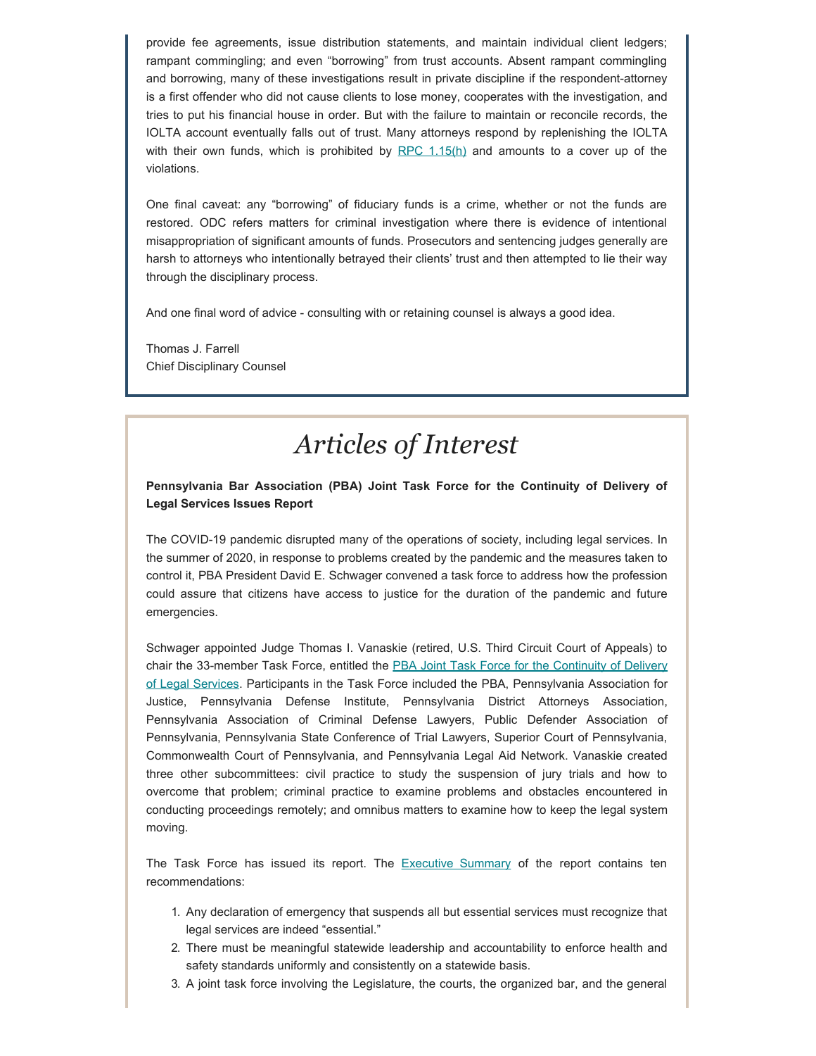provide fee agreements, issue distribution statements, and maintain individual client ledgers; rampant commingling; and even "borrowing" from trust accounts. Absent rampant commingling and borrowing, many of these investigations result in private discipline if the respondent-attorney is a first offender who did not cause clients to lose money, cooperates with the investigation, and tries to put his financial house in order. But with the failure to maintain or reconcile records, the IOLTA account eventually falls out of trust. Many attorneys respond by replenishing the IOLTA with their own funds, which is prohibited by RPC  $1.15(h)$  and amounts to a cover up of the violations.

One final caveat: any "borrowing" of fiduciary funds is a crime, whether or not the funds are restored. ODC refers matters for criminal investigation where there is evidence of intentional misappropriation of significant amounts of funds. Prosecutors and sentencing judges generally are harsh to attorneys who intentionally betrayed their clients' trust and then attempted to lie their way through the disciplinary process.

And one final word of advice - consulting with or retaining counsel is always a good idea.

Thomas J. Farrell Chief Disciplinary Counsel

## *Articles of Interest*

### **Pennsylvania Bar Association (PBA) Joint Task Force for the Continuity of Delivery of Legal Services Issues Report**

The COVID-19 pandemic disrupted many of the operations of society, including legal services. In the summer of 2020, in response to problems created by the pandemic and the measures taken to control it, PBA President David E. Schwager convened a task force to address how the profession could assure that citizens have access to justice for the duration of the pandemic and future emergencies.

Schwager appointed Judge Thomas I. Vanaskie (retired, U.S. Third Circuit Court of Appeals) to chair the 33-member Task Force, entitled the [PBA Joint Task Force for the Continuity of Delivery](https://www.pabar.org/site/News-and-Publications/News/News-Releases/2021/March/Report-on-Legal-Lessons-Learned-During-Pandemic) [of Legal Services.](https://www.pabar.org/site/News-and-Publications/News/News-Releases/2021/March/Report-on-Legal-Lessons-Learned-During-Pandemic) Participants in the Task Force included the PBA, Pennsylvania Association for Justice, Pennsylvania Defense Institute, Pennsylvania District Attorneys Association, Pennsylvania Association of Criminal Defense Lawyers, Public Defender Association of Pennsylvania, Pennsylvania State Conference of Trial Lawyers, Superior Court of Pennsylvania, Commonwealth Court of Pennsylvania, and Pennsylvania Legal Aid Network. Vanaskie created three other subcommittees: civil practice to study the suspension of jury trials and how to overcome that problem; criminal practice to examine problems and obstacles encountered in conducting proceedings remotely; and omnibus matters to examine how to keep the legal system moving.

The Task Force has issued its report. The **[Executive Summary](https://www.pabar.org/Public/committees/CONTINUITYTF/pdf/2021/2-Continuity-Task-Force-Report.pdf)** of the report contains ten recommendations:

- 1. Any declaration of emergency that suspends all but essential services must recognize that legal services are indeed "essential."
- 2. There must be meaningful statewide leadership and accountability to enforce health and safety standards uniformly and consistently on a statewide basis.
- 3. A joint task force involving the Legislature, the courts, the organized bar, and the general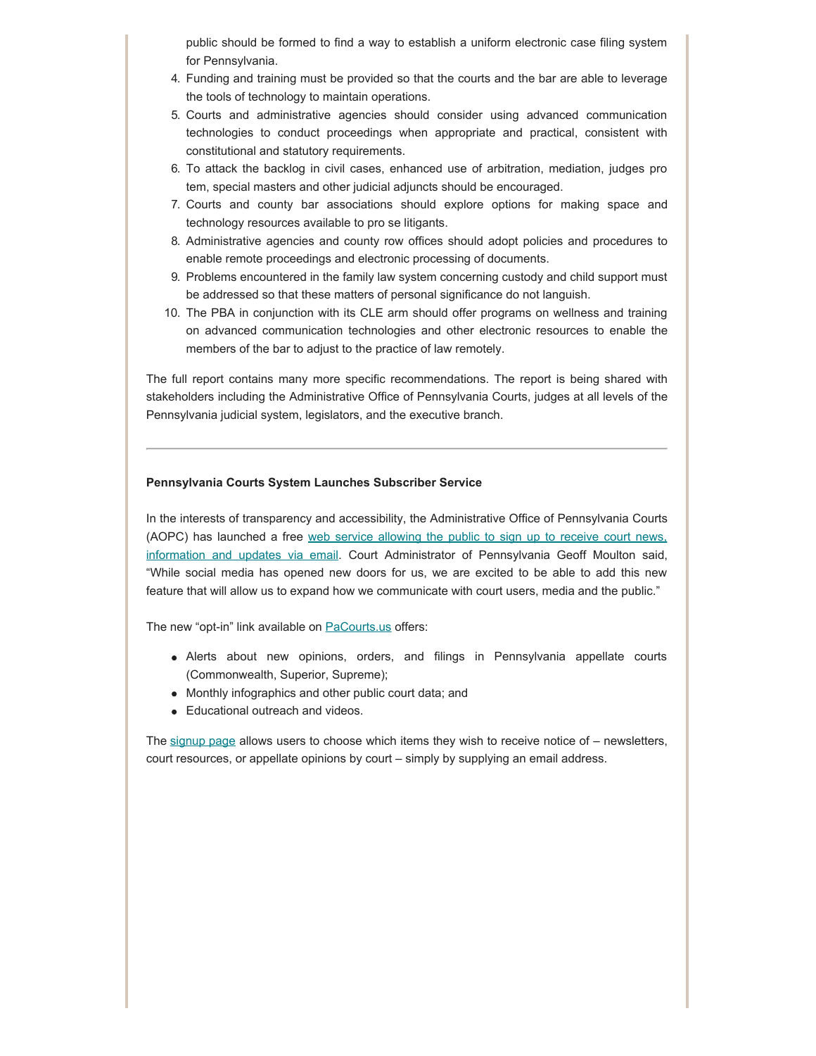public should be formed to find a way to establish a uniform electronic case filing system for Pennsylvania.

- 4. Funding and training must be provided so that the courts and the bar are able to leverage the tools of technology to maintain operations.
- 5. Courts and administrative agencies should consider using advanced communication technologies to conduct proceedings when appropriate and practical, consistent with constitutional and statutory requirements.
- 6. To attack the backlog in civil cases, enhanced use of arbitration, mediation, judges pro tem, special masters and other judicial adjuncts should be encouraged.
- 7. Courts and county bar associations should explore options for making space and technology resources available to pro se litigants.
- 8. Administrative agencies and county row offices should adopt policies and procedures to enable remote proceedings and electronic processing of documents.
- 9. Problems encountered in the family law system concerning custody and child support must be addressed so that these matters of personal significance do not languish.
- 10. The PBA in conjunction with its CLE arm should offer programs on wellness and training on advanced communication technologies and other electronic resources to enable the members of the bar to adjust to the practice of law remotely.

The full report contains many more specific recommendations. The report is being shared with stakeholders including the Administrative Office of Pennsylvania Courts, judges at all levels of the Pennsylvania judicial system, legislators, and the executive branch.

### **Pennsylvania Courts System Launches Subscriber Service**

In the interests of transparency and accessibility, the Administrative Office of Pennsylvania Courts (AOPC) has launched a free [web service allowing the public to sign up to receive court news,](http://www.pacourts.us/news-and-statistics/news?Article=1056) [information and updates via email](http://www.pacourts.us/news-and-statistics/news?Article=1056). Court Administrator of Pennsylvania Geoff Moulton said, "While social media has opened new doors for us, we are excited to be able to add this new feature that will allow us to expand how we communicate with court users, media and the public."

The new "opt-in" link available on **PaCourts**.us offers:

- Alerts about new opinions, orders, and filings in Pennsylvania appellate courts (Commonwealth, Superior, Supreme);
- Monthly infographics and other public court data; and
- Educational outreach and videos.

The  $signup$  page allows users to choose which items they wish to receive notice of  $-$  newsletters, court resources, or appellate opinions by court – simply by supplying an email address.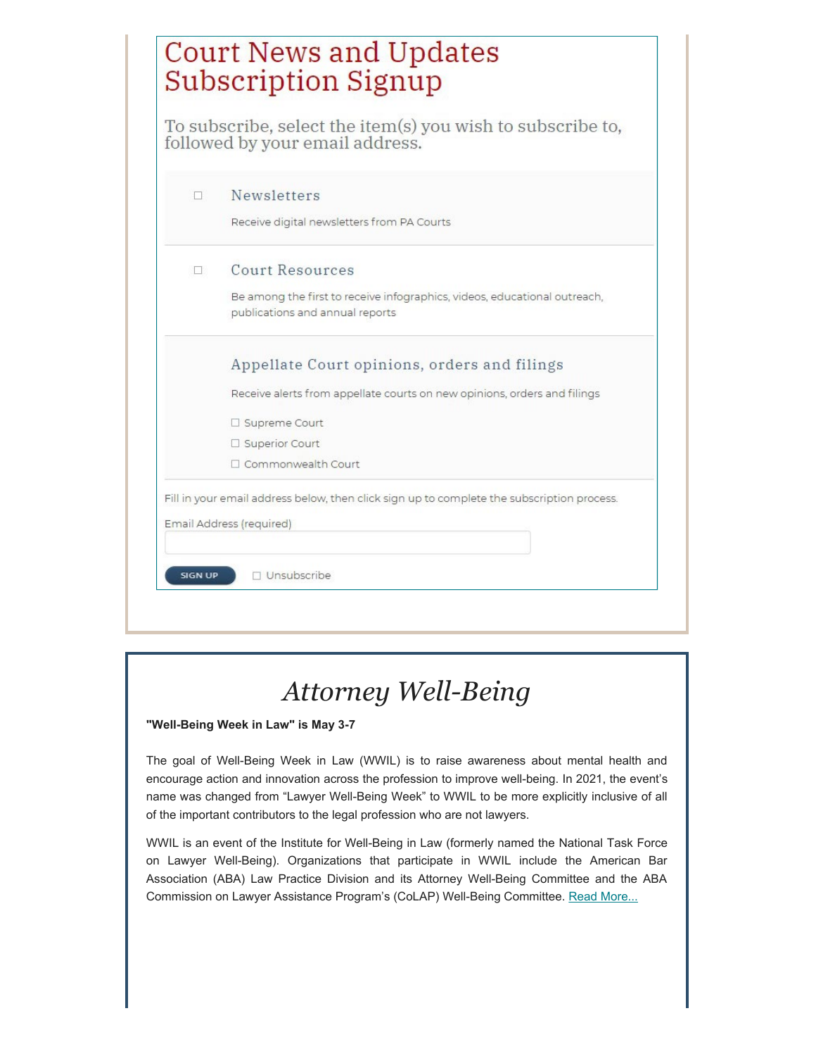|    | To subscribe, select the item(s) you wish to subscribe to,<br>followed by your email address.                |
|----|--------------------------------------------------------------------------------------------------------------|
| п  | <b>Newsletters</b>                                                                                           |
|    | Receive digital newsletters from PA Courts                                                                   |
| Π÷ | <b>Court Resources</b>                                                                                       |
|    | Be among the first to receive infographics, videos, educational outreach,<br>publications and annual reports |
|    | Appellate Court opinions, orders and filings                                                                 |
|    | Receive alerts from appellate courts on new opinions, orders and filings                                     |
|    | □ Supreme Court                                                                                              |
|    | □ Superior Court                                                                                             |
|    | Commonwealth Court                                                                                           |

# *Attorney Well-Being*

### **"Well-Being Week in Law" is May 3-7**

The goal of Well-Being Week in Law (WWIL) is to raise awareness about mental health and encourage action and innovation across the profession to improve well-being. In 2021, the event's name was changed from "Lawyer Well-Being Week" to WWIL to be more explicitly inclusive of all of the important contributors to the legal profession who are not lawyers.

WWIL is an event of the Institute for Well-Being in Law (formerly named the National Task Force on Lawyer Well-Being). Organizations that participate in WWIL include the American Bar Association (ABA) Law Practice Division and its Attorney Well-Being Committee and the ABA Commission on Lawyer Assistance Program's (CoLAP) Well-Being Committee. [Read More...](https://lawyerwellbeing.net/lawyer-well-being-week/)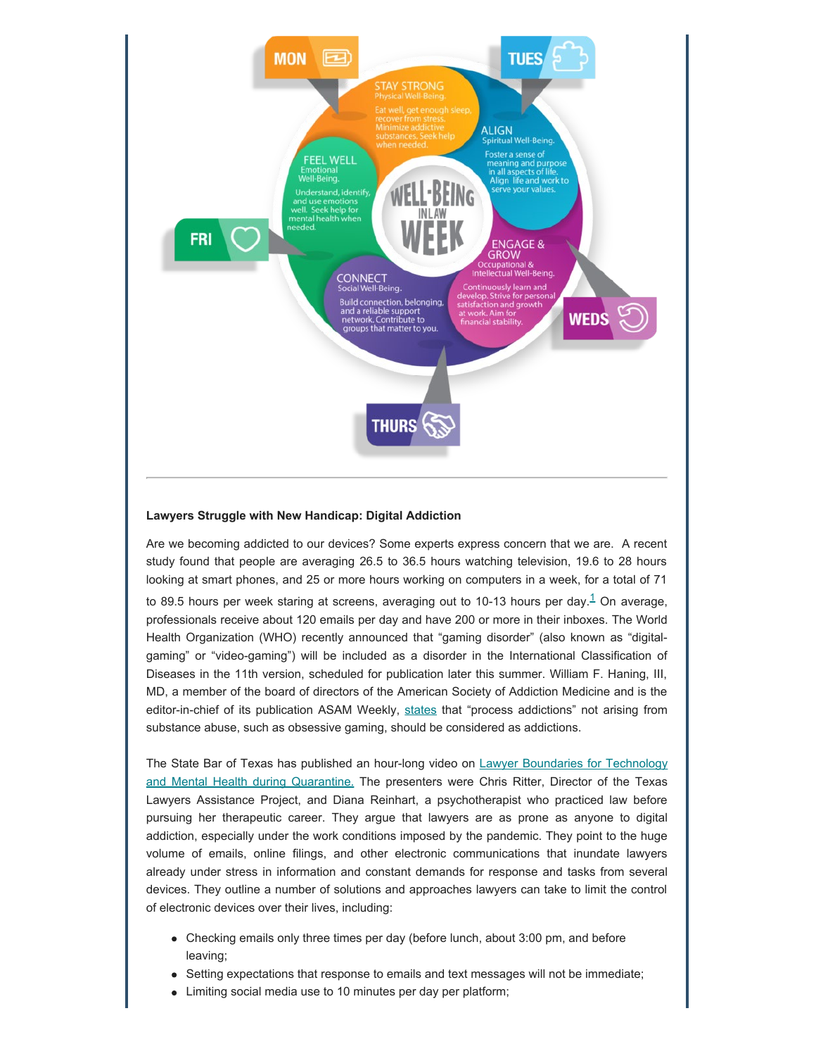

#### **Lawyers Struggle with New Handicap: Digital Addiction**

Are we becoming addicted to our devices? Some experts express concern that we are. A recent study found that people are averaging 26.5 to 36.5 hours watching television, 19.6 to 28 hours looking at smart phones, and 25 or more hours working on computers in a week, for a total of 71 to 89.5 hours per week staring at screens, averaging out to [1](#page-11-0)0-13 hours per day.<sup>1</sup> On average, professionals receive about 120 emails per day and have 200 or more in their inboxes. The World Health Organization (WHO) recently announced that "gaming disorder" (also known as "digitalgaming" or "video-gaming") will be included as a disorder in the International Classification of Diseases in the 11th version, scheduled for publication later this summer. William F. Haning, III, MD, a member of the board of directors of the American Society of Addiction Medicine and is the editor-in-chief of its publication ASAM Weekly, [states](https://www.socialworktoday.com/news/enews_0818_1.shtml) that "process addictions" not arising from substance abuse, such as obsessive gaming, should be considered as addictions.

The State Bar of Texas has published an hour-long video on [Lawyer Boundaries for Technology](https://texasbar-wo4m90g.vids.io/videos/7099dbb71113e0c5f9/lawyer-boundaries-for-technology-and-mental-health-during-quarantine) [and Mental Health during Quarantine.](https://texasbar-wo4m90g.vids.io/videos/7099dbb71113e0c5f9/lawyer-boundaries-for-technology-and-mental-health-during-quarantine) The presenters were Chris Ritter, Director of the Texas Lawyers Assistance Project, and Diana Reinhart, a psychotherapist who practiced law before pursuing her therapeutic career. They argue that lawyers are as prone as anyone to digital addiction, especially under the work conditions imposed by the pandemic. They point to the huge volume of emails, online filings, and other electronic communications that inundate lawyers already under stress in information and constant demands for response and tasks from several devices. They outline a number of solutions and approaches lawyers can take to limit the control of electronic devices over their lives, including:

- Checking emails only three times per day (before lunch, about 3:00 pm, and before leaving;
- Setting expectations that response to emails and text messages will not be immediate;
- Limiting social media use to 10 minutes per day per platform;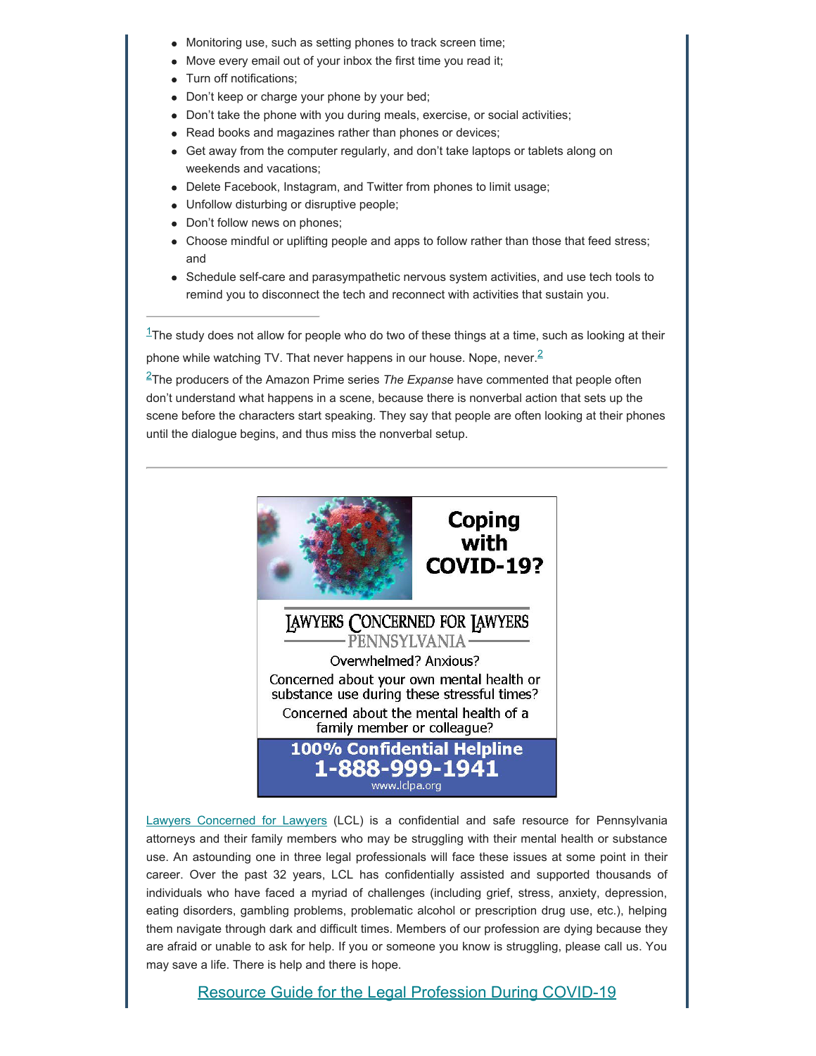- Monitoring use, such as setting phones to track screen time;
- Move every email out of your inbox the first time you read it;
- Turn off notifications;
- Don't keep or charge your phone by your bed;
- Don't take the phone with you during meals, exercise, or social activities;
- Read books and magazines rather than phones or devices;
- Get away from the computer regularly, and don't take laptops or tablets along on weekends and vacations;
- Delete Facebook, Instagram, and Twitter from phones to limit usage;
- Unfollow disturbing or disruptive people;
- Don't follow news on phones;
- Choose mindful or uplifting people and apps to follow rather than those that feed stress; and
- Schedule self-care and parasympathetic nervous system activities, and use tech tools to remind you to disconnect the tech and reconnect with activities that sustain you.

<span id="page-11-0"></span> $1$ The study does not allow for people who do two of these things at a time, such as looking at their phone while watching TV. That never happens in our house. Nope, never.<sup>[2](#page-11-0)</sup>

<span id="page-11-1"></span>[2T](#page-11-0)he producers of the Amazon Prime series *The Expanse* have commented that people often don't understand what happens in a scene, because there is nonverbal action that sets up the scene before the characters start speaking. They say that people are often looking at their phones until the dialogue begins, and thus miss the nonverbal setup.



[Lawyers Concerned for Lawyers](https://www.lclpa.org/) (LCL) is a confidential and safe resource for Pennsylvania attorneys and their family members who may be struggling with their mental health or substance use. An astounding one in three legal professionals will face these issues at some point in their career. Over the past 32 years, LCL has confidentially assisted and supported thousands of individuals who have faced a myriad of challenges (including grief, stress, anxiety, depression, eating disorders, gambling problems, problematic alcohol or prescription drug use, etc.), helping them navigate through dark and difficult times. Members of our profession are dying because they are afraid or unable to ask for help. If you or someone you know is struggling, please call us. You may save a life. There is help and there is hope.

Resource Guide [for the Legal Profession During COVID-19](https://www.lclpa.org/wp-content/uploads/2021/03/March-2021-LCL-COVID-Resource-Guide.pdf)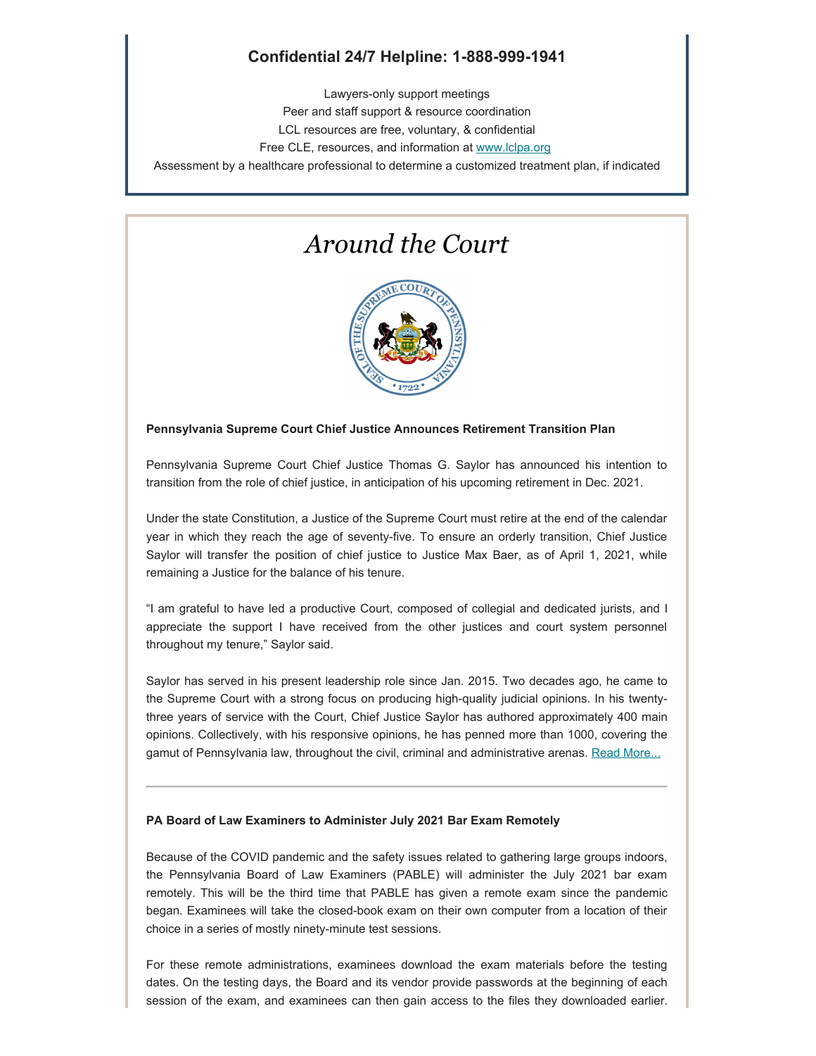### **Confidential 24/7 Helpline: 1-888-999-1941**

Lawyers-only support meetings Peer and staff support & resource coordination LCL resources are free, voluntary, & confidential Free CLE, resources, and information at [www.lclpa.org](https://www.lclpa.org/) Assessment by a healthcare professional to determine a customized treatment plan, if indicated

### *Around the Court*



### **Pennsylvania Supreme Court Chief Justice Announces Retirement Transition Plan**

Pennsylvania Supreme Court Chief Justice Thomas G. Saylor has announced his intention to transition from the role of chief justice, in anticipation of his upcoming retirement in Dec. 2021.

Under the state Constitution, a Justice of the Supreme Court must retire at the end of the calendar year in which they reach the age of seventy-five. To ensure an orderly transition, Chief Justice Saylor will transfer the position of chief justice to Justice Max Baer, as of April 1, 2021, while remaining a Justice for the balance of his tenure.

"I am grateful to have led a productive Court, composed of collegial and dedicated jurists, and I appreciate the support I have received from the other justices and court system personnel throughout my tenure," Saylor said.

Saylor has served in his present leadership role since Jan. 2015. Two decades ago, he came to the Supreme Court with a strong focus on producing high-quality judicial opinions. In his twentythree years of service with the Court, Chief Justice Saylor has authored approximately 400 main opinions. Collectively, with his responsive opinions, he has penned more than 1000, covering the gamut of Pennsylvania law, throughout the civil, criminal and administrative arenas. [Read More...](http://www.pacourts.us/assets/files/newsrelease-1/file-11242.pdf?cb=62b534)

#### **PA Board of Law Examiners to Administer July 2021 Bar Exam Remotely**

Because of the COVID pandemic and the safety issues related to gathering large groups indoors, the Pennsylvania Board of Law Examiners (PABLE) will administer the July 2021 bar exam remotely. This will be the third time that PABLE has given a remote exam since the pandemic began. Examinees will take the closed-book exam on their own computer from a location of their choice in a series of mostly ninety-minute test sessions.

For these remote administrations, examinees download the exam materials before the testing dates. On the testing days, the Board and its vendor provide passwords at the beginning of each session of the exam, and examinees can then gain access to the files they downloaded earlier.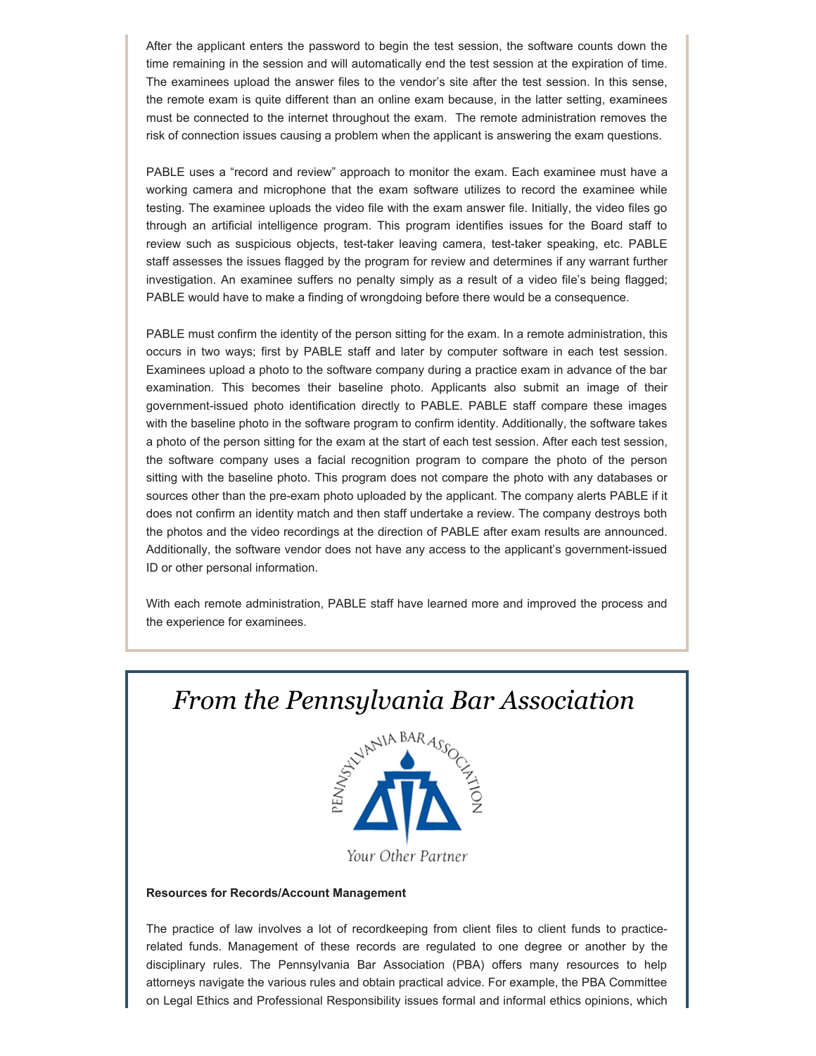After the applicant enters the password to begin the test session, the software counts down the time remaining in the session and will automatically end the test session at the expiration of time. The examinees upload the answer files to the vendor's site after the test session. In this sense, the remote exam is quite different than an online exam because, in the latter setting, examinees must be connected to the internet throughout the exam. The remote administration removes the risk of connection issues causing a problem when the applicant is answering the exam questions.

PABLE uses a "record and review" approach to monitor the exam. Each examinee must have a working camera and microphone that the exam software utilizes to record the examinee while testing. The examinee uploads the video file with the exam answer file. Initially, the video files go through an artificial intelligence program. This program identifies issues for the Board staff to review such as suspicious objects, test-taker leaving camera, test-taker speaking, etc. PABLE staff assesses the issues flagged by the program for review and determines if any warrant further investigation. An examinee suffers no penalty simply as a result of a video file's being flagged; PABLE would have to make a finding of wrongdoing before there would be a consequence.

PABLE must confirm the identity of the person sitting for the exam. In a remote administration, this occurs in two ways; first by PABLE staff and later by computer software in each test session. Examinees upload a photo to the software company during a practice exam in advance of the bar examination. This becomes their baseline photo. Applicants also submit an image of their government-issued photo identification directly to PABLE. PABLE staff compare these images with the baseline photo in the software program to confirm identity. Additionally, the software takes a photo of the person sitting for the exam at the start of each test session. After each test session, the software company uses a facial recognition program to compare the photo of the person sitting with the baseline photo. This program does not compare the photo with any databases or sources other than the pre-exam photo uploaded by the applicant. The company alerts PABLE if it does not confirm an identity match and then staff undertake a review. The company destroys both the photos and the video recordings at the direction of PABLE after exam results are announced. Additionally, the software vendor does not have any access to the applicant's government-issued ID or other personal information.

With each remote administration, PABLE staff have learned more and improved the process and the experience for examinees.

## *From the Pennsylvania Bar Association*



#### **Resources for Records/Account Management**

The practice of law involves a lot of recordkeeping from client files to client funds to practicerelated funds. Management of these records are regulated to one degree or another by the disciplinary rules. The Pennsylvania Bar Association (PBA) offers many resources to help attorneys navigate the various rules and obtain practical advice. For example, the PBA Committee on Legal Ethics and Professional Responsibility issues formal and informal ethics opinions, which